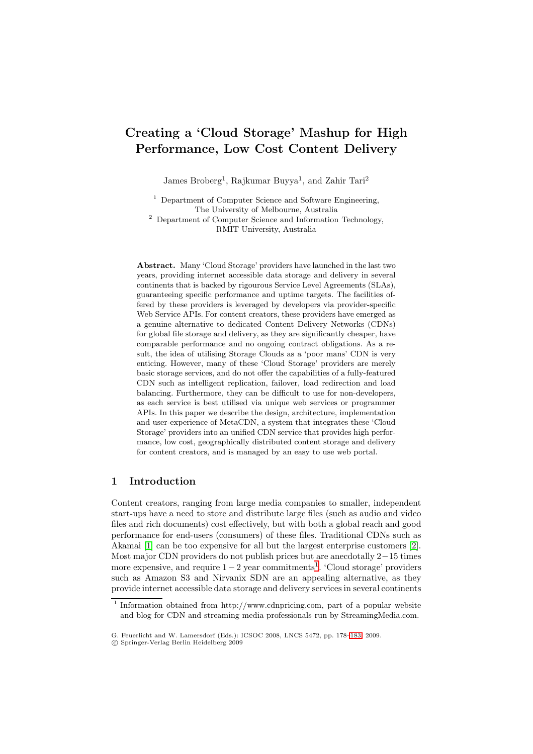# **Creating a 'Cloud Storage' Mashup for High Performance, Low Cost Content Delivery**

James Broberg<sup>1</sup>, Rajkumar Buyya<sup>1</sup>, and Zahir Tari<sup>2</sup>

<sup>1</sup> Department of Computer Science and Software Engineering, The University of Melbourne, Australia <sup>2</sup> Department of Computer Science and Information Technology, RMIT University, Australia

**Abstract.** Many 'Cloud Storage' providers have launched in the last two years, providing internet accessible data storage and delivery in several continents that is backed by rigourous Service Level Agreements (SLAs), guaranteeing specific performance and uptime targets. The facilities offered by these providers is leveraged by developers via provider-specific Web Service APIs. For content creators, these providers have emerged as a genuine alternative to dedicated Content Delivery Networks (CDNs) for global file storage and delivery, as they are significantly cheaper, have comparable performance and no ongoing contract obligations. As a result, the idea of utilising Storage Clouds as a 'poor mans' CDN is very enticing. However, many of these 'Cloud Storage' providers are merely basic storage services, and do not offer the capabilities of a fully-featured CDN such as intelligent replication, failover, load redirection and load balancing. Furthermore, they can be difficult to use for non-developers, as each service is best utilised via unique web services or programmer APIs. In this paper we describe the design, architecture, implementation and user-experience of MetaCDN, a system that integrates these 'Cloud Storage' providers into an unified CDN service that provides high performance, low cost, geographically distributed content storage and delivery for content creators, and is managed by an easy to use web portal.

# **1 Introduction**

Content creators, ranging from large media companies to smaller, independent start-ups have a need to store and distribute large files (such as audio and video files and rich documents) cost effectively, but with both a global reach and good performance for end-users (consumers) of these files. Traditional CDNs such as Akamai [1] can be too expensive for all but the largest enterprise customers [2]. Most major CDN providers do not publish prices but are anecdotally 2*−*15 times more expensive, and require 1 − 2 year commitments<sup>1</sup>. 'Cloud storage' providers such as Amazon S3 and Nirvanix SDN are an appealing alternative, as they provide i[nt](#page-5-0)ernet accessible data storage and delivery services in several contine[nt](#page-5-1)s

<sup>&</sup>lt;sup>1</sup> Information obtained from http://www.cdnpricing.com, part of a popular website and blog for CDN and streaming media professionals [ru](#page-0-0)n by StreamingMedia.com.

G. Feuerlicht and W. Lamersdorf (Eds.): ICSOC 2008, LNCS 5472, pp. 178–183, 2009.

<span id="page-0-0"></span><sup>-</sup>c Springer-Verlag Berlin Heidelberg 2009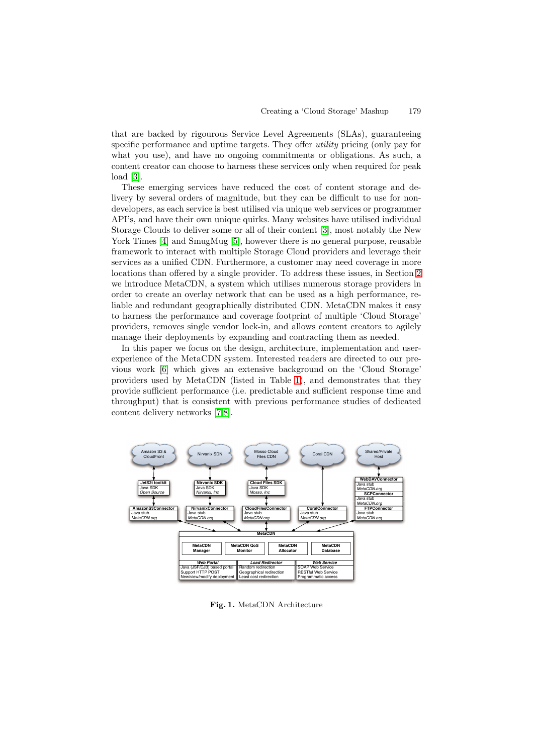that are backed by rigourous Service Level Agreements (SLAs), guaranteeing specific performance and uptime targets. They offer *utility* pricing (only pay for what you use), and have no ongoing commitments or obligations. As such, a content creator can choose to harness these services only when required for peak load [3].

These emerging services have reduced the cost of content storage and delivery by several orders of magnitude, but they can be difficult to use for nondevelopers, as each service is best utilised via unique web services or programmer API'[s, a](#page-5-2)nd have their own unique quirks. Many websites have utilised individual Storage Clouds to deliver some or all of their content [3], most notably the New York Times [4] and SmugMug [5], however there is no general purpose, reusable framework to interact with multiple Storage Cloud providers and leverage their services as a unified CDN. Furthermore, a customer may need coverage in more locations than offered by a single provider. To addres[s t](#page-5-2)hese issues, in Section 2 we introduc[e M](#page-5-3)etaCDN, a sys[tem](#page-5-4) which utilises numerous storage providers in order to create an overlay network that can be used as a high performance, reliable and redundant geographically distributed CDN. MetaCDN makes it easy to harness the performance and coverage footprint of multiple 'Cloud Storag[e'](#page-2-0) providers, removes single vendor lock-in, and allows content creators to agilely manage their deployments by expanding and contracting them as needed.

In this paper we focus on the design, architecture, implementation and userexperience of the MetaCDN system. Interested readers are directed to our previous work [6] which gives an extensive background on the 'Cloud Storage' providers used by MetaCDN (listed in Table 1), and demonstrates that they provide sufficient performance (i.e. predictable and sufficient response time and throughput) that is consistent with previous performance studies of dedicated content deli[ver](#page-5-5)y networks [7,8].



<span id="page-1-0"></span>**Fig. 1.** MetaCDN Architecture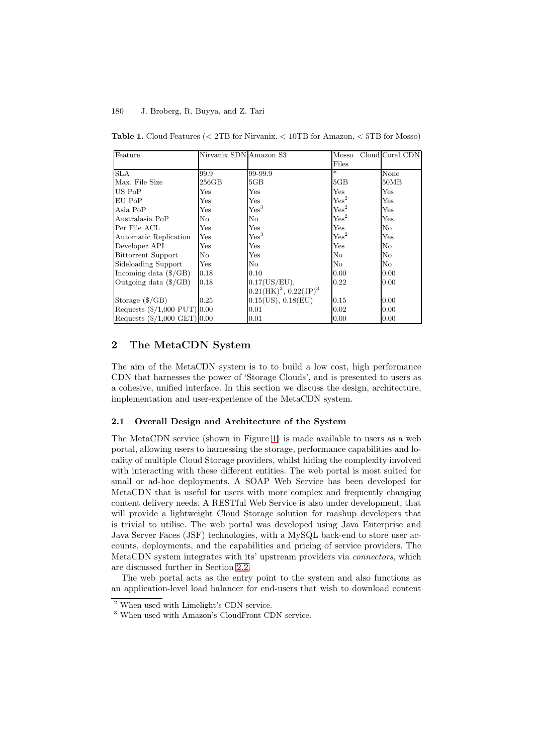#### 180 J. Broberg, R. Buyya, and Z. Tari

<span id="page-2-1"></span>

| Feature                                      | Nirvanix SDN Amazon S3 |                            | Mosso            | Cloud Coral CDN |
|----------------------------------------------|------------------------|----------------------------|------------------|-----------------|
|                                              |                        |                            | Files            |                 |
| <b>SLA</b>                                   | 99.9                   | 99-99.9                    | $\ast$           | None            |
| Max. File Size                               | 256GB                  | 5GB                        | 5GB              | 50MB            |
| US PoP                                       | Yes                    | Yes                        | Yes              | Yes             |
| EU PoP                                       | Yes                    | Yes                        | Yes <sup>2</sup> | Yes             |
| Asia PoP                                     | Yes                    | $\mathrm{Yes}^3$           | Yes <sup>2</sup> | Yes             |
| Australasia PoP                              | No                     | No                         | Yes <sup>2</sup> | Yes             |
| Per File ACL                                 | Yes                    | Yes                        | Yes              | No              |
| Automatic Replication                        | Yes                    | $\mathrm{Yes}^3$           | Yes <sup>2</sup> | Yes             |
| Developer API                                | Yes                    | Yes                        | Yes              | $\rm No$        |
| <b>Bittorrent Support</b>                    | No                     | Yes                        | No               | $\rm No$        |
| Sideloading Support                          | Yes                    | No                         | No               | No              |
| Incoming data $(\frac{6}{GB})$               | 0.18                   | 0.10                       | 0.00             | 0.00            |
| Outgoing data (\$/GB)                        | 0.18                   | $0.17(US/EU)$ ,            | 0.22             | 0.00            |
|                                              |                        | $(0.21(HK)^3, 0.22(JP)^3)$ |                  |                 |
| Storage $(\frac{6}{GB})$                     | 0.25                   | 0.15(US), 0.18(EU)         | 0.15             | 0.00            |
| Requests $(\frac{4}{1,000}$ PUT $)$ 0.00     |                        | 0.01                       | 0.02             | 0.00            |
| Requests $(\frac{4}{1000} \text{ GET}) 0.00$ |                        | 0.01                       | 0.00             | 0.00            |

**Table 1.** Cloud Features (*<sup>&</sup>lt;* 2TB for Nirvanix, *<sup>&</sup>lt;* 10TB for Amazon, *<sup>&</sup>lt;* 5TB for Mosso)

# **2 The MetaCDN System**

<span id="page-2-0"></span>The aim of the MetaCDN system is to to build a low cost, high performance CDN that harnesses the power of 'Storage Clouds', and is presented to users as a cohesive, unified interface. In this section we discuss the design, architecture, implementation and user-experience of the MetaCDN system.

### **2.1 Overall Design and Architecture of the System**

The MetaCDN service (shown in Figure 1) is made available to users as a web portal, allowing users to harnessing the storage, performance capabilities and locality of multiple Cloud Storage providers, whilst hiding the complexity involved with interacting with these different entities. The web portal is most suited for small or ad-hoc deployments. A SOAP [W](#page-1-0)eb Service has been developed for MetaCDN that is useful for users with more complex and frequently changing content delivery needs. A RESTful Web Service is also under development, that will provide a lightweight Cloud Storage solution for mashup developers that is trivial to utilise. The web portal was developed using Java Enterprise and Java Server Faces (JSF) technologies, with a MySQL back-end to store user accounts, deployments, and the capabilities and pricing of service providers. The MetaCDN system integrates with its' upstream providers via *connectors*, which are discussed further in Section 2.2.

The web portal acts as the entry point to the system and also functions as an application-level load balancer for end-users that wish to download content

<sup>2</sup> When used with Limelight's CDN service.

<sup>3</sup> When used with Amazon's Clo[udFr](#page-3-0)ont CDN service.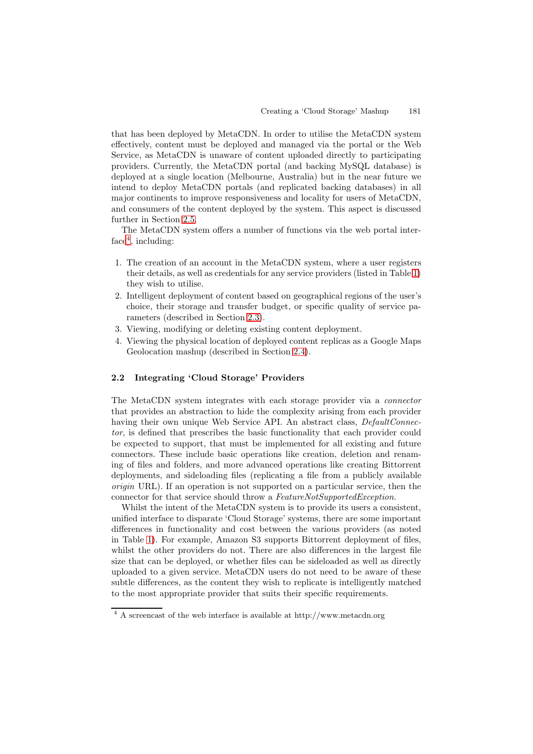that has been deployed by MetaCDN. In order to utilise the MetaCDN system effectively, content must be deployed and managed via the portal or the Web Service, as MetaCDN is unaware of content uploaded directly to participating providers. Currently, the MetaCDN portal (and backing MySQL database) is deployed at a single location (Melbourne, Australia) but in the near future we intend to deploy MetaCDN portals (and replicated backing databases) in all major continents to improve responsiveness and locality for users of MetaCDN, and consumers of the content deployed by the system. This aspect is discussed further in Section 2.5.

The MetaCDN system offers a number of functions via the web portal inter $face<sup>4</sup>$ , including:

- 1. The creation [of an](#page-5-8) account in the MetaCDN system, where a user registers their details, as well as credentials for any service providers (listed in Table 1) [th](#page-3-1)ey wish to utilise.
- 2. Intelligent deployment of content based on geographical regions of the user's choice, their storage and transfer budget, or specific quality of service parameters (described in Section 2.3).
- 3. Viewing, modifying or deleting existing content deployment.
- 4. Viewing the physical location of deployed content replicas as a Google Maps Geolocation mashup (described in Section 2.4).

#### **2.2 Integrating 'Cloud Storage' Providers**

<span id="page-3-0"></span>The MetaCDN system integrates with each [stor](#page-4-0)age provider via a *connector* that provides an abstraction to hide the complexity arising from each provider having their own unique Web Service API. An abstract class, *DefaultConnector*, is defined that prescribes the basic functionality that each provider could be expected to support, that must be implemented for all existing and future connectors. These include basic operations like creation, deletion and renaming of files and folders, and more advanced operations like creating Bittorrent deployments, and sideloading files (replicating a file from a publicly available *origin* URL). If an operation is not supported on a particular service, then the connector for that service should throw a *FeatureNotSupportedException*.

Whilst the intent of the MetaCDN system is to provide its users a consistent, unified interface to disparate 'Cloud Storage' systems, there are some important differences in functionality and cost between the various providers (as noted in Table 1). For example, Amazon S3 supports Bittorrent deployment of files, whilst the other providers do not. There are also differences in the largest file size that can be deployed, or whether files can be sideloaded as well as directly uploaded to a given service. MetaCDN users do not need to be aware of these subtle di[ffe](#page-2-1)rences, as the content they wish to replicate is intelligently matched to the most appropriate provider that suits their specific requirements.

<span id="page-3-1"></span><sup>4</sup> A screencast of the web interface is available at http://www.metacdn.org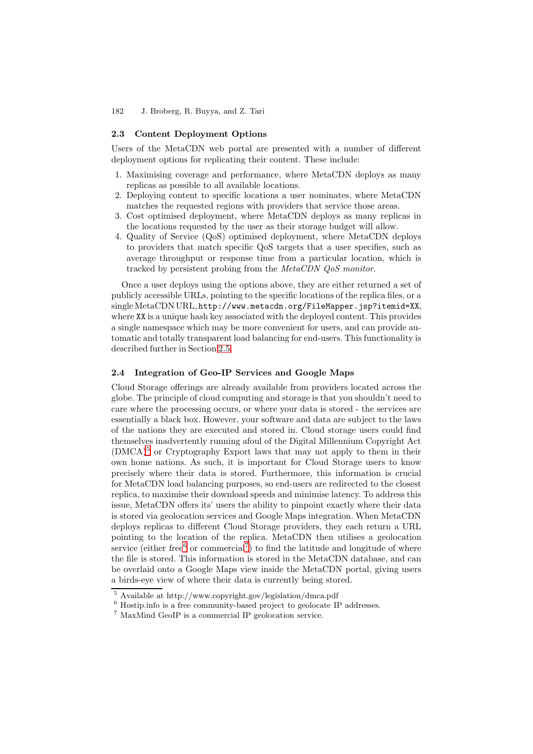#### 182 J. Broberg, R. Buyya, and Z. Tari

## **2.3 Content Deployment Options**

Users of the MetaCDN web portal are presented with a number of different deployment options for replicating their content. These include:

- 1. Maximising coverage and performance, where MetaCDN deploys as many replicas as possible to all available locations.
- 2. Deploying content to specific locations a user nominates, where MetaCDN matches the requested regions with providers that service those areas.
- 3. Cost optimised deployment, where MetaCDN deploys as many replicas in the locations requested by the user as their storage budget will allow.
- 4. Quality of Service (QoS) optimised deployment, where MetaCDN deploys to providers that match specific QoS targets that a user specifies, such as average throughput or response time from a particular location, which is tracked by persistent probing from the *MetaCDN QoS monitor*.

Once a user deploys using the options above, they are either returned a set of publicly accessible URLs, pointing to the specific locations of the replica files, or a singleMetaCDN URL, http://www.metacdn.org/FileMapper.jsp?itemid=XX, where XX is a unique hash key associated with the deployed content. This provides a single namespace which may be more convenient for users, and can provide automatic and totally transparent load balancing for end-users. This functionality is described further in Section 2.5.

#### **2.4 Integration of Geo-IP Services and Google Maps**

<span id="page-4-0"></span>Cloud Storage offerings are already available from providers located across the globe. The principle of clou[d](#page-5-8) [com](#page-5-8)puting and storage is that you shouldn't need to care where the processing occurs, or where your data is stored - the services are essentially a black box. However, your software and data are subject to the laws of the nations they are executed and stored in. Cloud storage users could find themselves inadvertently running afoul of the Digital Millennium Copyright Act  $(DMCA)^5$  or Cryptography Export laws that may not apply to them in their own home nations. As such, it is important for Cloud Storage users to know precisely where their data is stored. Furthermore, this information is crucial for MetaCDN load balancing purposes, so end-users are redirected to the closest replica, [to](#page-4-1) maximise their download speeds and minimise latency. To address this issue, MetaCDN offers its' users the ability to pinpoint exactly where their data is stored via geolocation services and Google Maps integration. When MetaCDN deploys replicas to different Cloud Storage providers, they each return a URL pointing to the location of the replica. MetaCDN then utilises a geolocation service (either free or commercial<sup>7</sup>) to find the latitude and longitude of where the file is stored. This information is stored in the MetaCDN database, and can be overlaid onto a Google Maps view inside the MetaCDN portal, giving users a birds-eye view of where their data is currently being stored.

<sup>5</sup> Available at htt[p:/](#page-4-2)/www.copyrigh[t.g](#page-4-3)ov/legislation/dmca.pdf

 $^6$  Hostip.info is a free community-based project to geolocate IP addresses.

<span id="page-4-3"></span><span id="page-4-2"></span><span id="page-4-1"></span><sup>7</sup> MaxMind GeoIP is a commercial IP geolocation service.